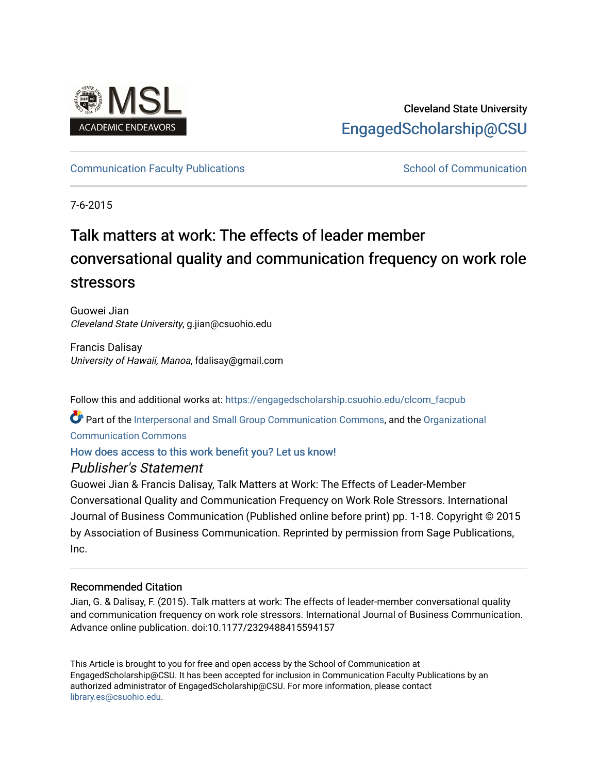

# Cleveland State University [EngagedScholarship@CSU](https://engagedscholarship.csuohio.edu/)

# [Communication Faculty Publications](https://engagedscholarship.csuohio.edu/clcom_facpub) [School of Communication](https://engagedscholarship.csuohio.edu/clcom) School of Communication

7-6-2015

# Talk matters at work: The effects of leader member conversational quality and communication frequency on work role stressors

Guowei Jian Cleveland State University, g.jian@csuohio.edu

Francis Dalisay University of Hawaii, Manoa, fdalisay@gmail.com

Follow this and additional works at: [https://engagedscholarship.csuohio.edu/clcom\\_facpub](https://engagedscholarship.csuohio.edu/clcom_facpub?utm_source=engagedscholarship.csuohio.edu%2Fclcom_facpub%2F11&utm_medium=PDF&utm_campaign=PDFCoverPages) 

Part of the [Interpersonal and Small Group Communication Commons,](http://network.bepress.com/hgg/discipline/332?utm_source=engagedscholarship.csuohio.edu%2Fclcom_facpub%2F11&utm_medium=PDF&utm_campaign=PDFCoverPages) and the [Organizational](http://network.bepress.com/hgg/discipline/335?utm_source=engagedscholarship.csuohio.edu%2Fclcom_facpub%2F11&utm_medium=PDF&utm_campaign=PDFCoverPages) [Communication Commons](http://network.bepress.com/hgg/discipline/335?utm_source=engagedscholarship.csuohio.edu%2Fclcom_facpub%2F11&utm_medium=PDF&utm_campaign=PDFCoverPages)

# [How does access to this work benefit you? Let us know!](http://library.csuohio.edu/engaged/)

# Publisher's Statement

Guowei Jian & Francis Dalisay, Talk Matters at Work: The Effects of Leader-Member Conversational Quality and Communication Frequency on Work Role Stressors. International Journal of Business Communication (Published online before print) pp. 1-18. Copyright © 2015 by Association of Business Communication. Reprinted by permission from Sage Publications, Inc.

# Recommended Citation

Jian, G. & Dalisay, F. (2015). Talk matters at work: The effects of leader-member conversational quality and communication frequency on work role stressors. International Journal of Business Communication. Advance online publication. doi:10.1177/2329488415594157

This Article is brought to you for free and open access by the School of Communication at EngagedScholarship@CSU. It has been accepted for inclusion in Communication Faculty Publications by an authorized administrator of EngagedScholarship@CSU. For more information, please contact [library.es@csuohio.edu.](mailto:library.es@csuohio.edu)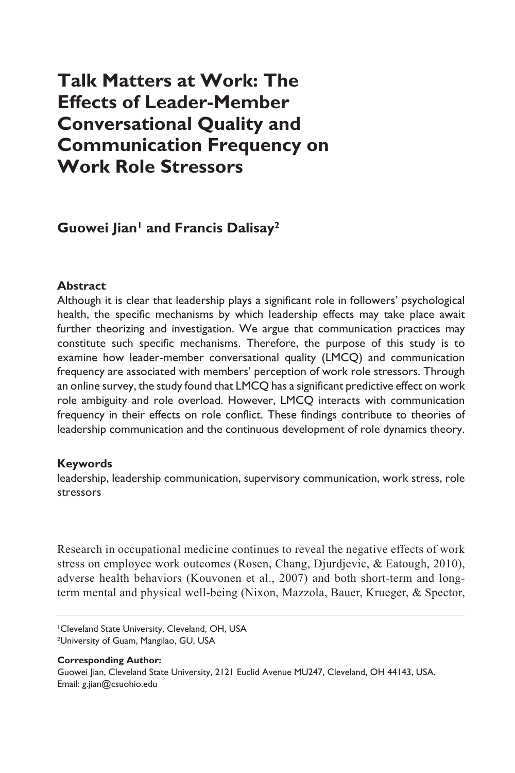# **Talk Matters at Work: The Effects of Leader-Member Conversational Quality and Communication Frequency on Work Role Stressors**

## Guowei Jian<sup>1</sup> and Francis Dalisay<sup>2</sup>

#### **Abstract**

Although it is clear that leadership plays a significant role in followers' psychological health, the specific mechanisms by which leadership effects may take place await further theorizing and investigation. We argue that communication practices may constitute such specific mechanisms. Therefore, the purpose of this study is to examine how leader-member conversational quality (LMCQ) and communication frequency are associated with members' perception of work role stressors. Through an online survey, the study found that LMCQ has a significant predictive effect on work role ambiguity and role overload. However, LMCQ interacts with communication frequency in their effects on role conflict. These findings contribute to theories of leadership communication and the continuous development of role dynamics theory.

#### **Keywords**

leadership, leadership communication, supervisory communication, work stress, role stressors

Research in occupational medicine continues to reveal the negative effects of work stress on employee work outcomes (Rosen, Chang, Djurdjevic, & Eatough, 2010), adverse health behaviors (Kouvonen et al., 2007) and both short-term and longterm mental and physical well-being (Nixon, Mazzola, Bauer, Krueger, & Spector,

1Cleveland State University, Cleveland, OH, USA 2University of Guam, Mangilao, GU, USA

**Corresponding Author:** Guowei Jian, Cleveland State University, 2121 Euclid Avenue MU247, Cleveland, OH 44143, USA. Email: [g.jian@csuohio.edu](mailto:g.jian@csuohio.edu)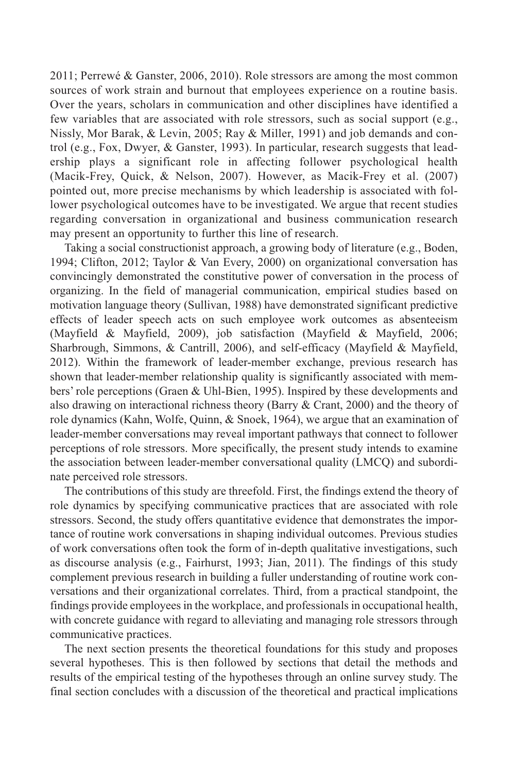2011; Perrewé & Ganster, 2006, 2010). Role stressors are among the most common sources of work strain and burnout that employees experience on a routine basis. Over the years, scholars in communication and other disciplines have identified a few variables that are associated with role stressors, such as social support (e.g., Nissly, Mor Barak, & Levin, 2005; Ray & Miller, 1991) and job demands and control (e.g., Fox, Dwyer, & Ganster, 1993). In particular, research suggests that leadership plays a significant role in affecting follower psychological health (Macik-Frey, Quick, & Nelson, 2007). However, as Macik-Frey et al. (2007) pointed out, more precise mechanisms by which leadership is associated with follower psychological outcomes have to be investigated. We argue that recent studies regarding conversation in organizational and business communication research may present an opportunity to further this line of research.

Taking a social constructionist approach, a growing body of literature (e.g., Boden, 1994; Clifton, 2012; Taylor & Van Every, 2000) on organizational conversation has convincingly demonstrated the constitutive power of conversation in the process of organizing. In the field of managerial communication, empirical studies based on motivation language theory (Sullivan, 1988) have demonstrated significant predictive effects of leader speech acts on such employee work outcomes as absenteeism (Mayfield & Mayfield, 2009), job satisfaction (Mayfield & Mayfield, 2006; Sharbrough, Simmons, & Cantrill, 2006), and self-efficacy (Mayfield & Mayfield, 2012). Within the framework of leader-member exchange, previous research has shown that leader-member relationship quality is significantly associated with members' role perceptions (Graen & Uhl-Bien, 1995). Inspired by these developments and also drawing on interactional richness theory (Barry & Crant, 2000) and the theory of role dynamics (Kahn, Wolfe, Quinn, & Snoek, 1964), we argue that an examination of leader-member conversations may reveal important pathways that connect to follower perceptions of role stressors. More specifically, the present study intends to examine the association between leader-member conversational quality (LMCQ) and subordinate perceived role stressors.

The contributions of this study are threefold. First, the findings extend the theory of role dynamics by specifying communicative practices that are associated with role stressors. Second, the study offers quantitative evidence that demonstrates the importance of routine work conversations in shaping individual outcomes. Previous studies of work conversations often took the form of in-depth qualitative investigations, such as discourse analysis (e.g., Fairhurst, 1993; Jian, 2011). The findings of this study complement previous research in building a fuller understanding of routine work conversations and their organizational correlates. Third, from a practical standpoint, the findings provide employees in the workplace, and professionals in occupational health, with concrete guidance with regard to alleviating and managing role stressors through communicative practices.

The next section presents the theoretical foundations for this study and proposes several hypotheses. This is then followed by sections that detail the methods and results of the empirical testing of the hypotheses through an online survey study. The final section concludes with a discussion of the theoretical and practical implications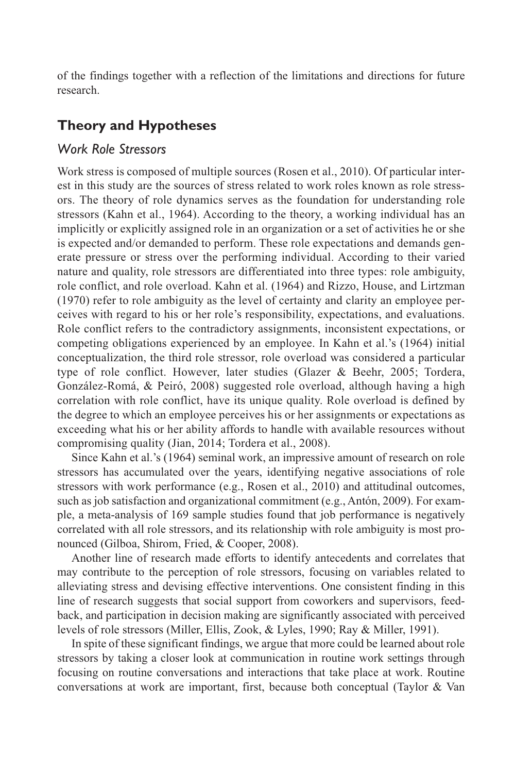of the findings together with a reflection of the limitations and directions for future research.

# **Theory and Hypotheses**

#### *Work Role Stressors*

Work stress is composed of multiple sources (Rosen et al., 2010). Of particular interest in this study are the sources of stress related to work roles known as role stressors. The theory of role dynamics serves as the foundation for understanding role stressors (Kahn et al., 1964). According to the theory, a working individual has an implicitly or explicitly assigned role in an organization or a set of activities he or she is expected and/or demanded to perform. These role expectations and demands generate pressure or stress over the performing individual. According to their varied nature and quality, role stressors are differentiated into three types: role ambiguity, role conflict, and role overload. Kahn et al. (1964) and Rizzo, House, and Lirtzman (1970) refer to role ambiguity as the level of certainty and clarity an employee perceives with regard to his or her role's responsibility, expectations, and evaluations. Role conflict refers to the contradictory assignments, inconsistent expectations, or competing obligations experienced by an employee. In Kahn et al.'s (1964) initial conceptualization, the third role stressor, role overload was considered a particular type of role conflict. However, later studies (Glazer & Beehr, 2005; Tordera, González-Romá, & Peiró, 2008) suggested role overload, although having a high correlation with role conflict, have its unique quality. Role overload is defined by the degree to which an employee perceives his or her assignments or expectations as exceeding what his or her ability affords to handle with available resources without compromising quality (Jian, 2014; Tordera et al., 2008).

Since Kahn et al.'s (1964) seminal work, an impressive amount of research on role stressors has accumulated over the years, identifying negative associations of role stressors with work performance (e.g., Rosen et al., 2010) and attitudinal outcomes, such as job satisfaction and organizational commitment (e.g., Antón, 2009). For example, a meta-analysis of 169 sample studies found that job performance is negatively correlated with all role stressors, and its relationship with role ambiguity is most pronounced (Gilboa, Shirom, Fried, & Cooper, 2008).

Another line of research made efforts to identify antecedents and correlates that may contribute to the perception of role stressors, focusing on variables related to alleviating stress and devising effective interventions. One consistent finding in this line of research suggests that social support from coworkers and supervisors, feedback, and participation in decision making are significantly associated with perceived levels of role stressors (Miller, Ellis, Zook, & Lyles, 1990; Ray & Miller, 1991).

In spite of these significant findings, we argue that more could be learned about role stressors by taking a closer look at communication in routine work settings through focusing on routine conversations and interactions that take place at work. Routine conversations at work are important, first, because both conceptual (Taylor & Van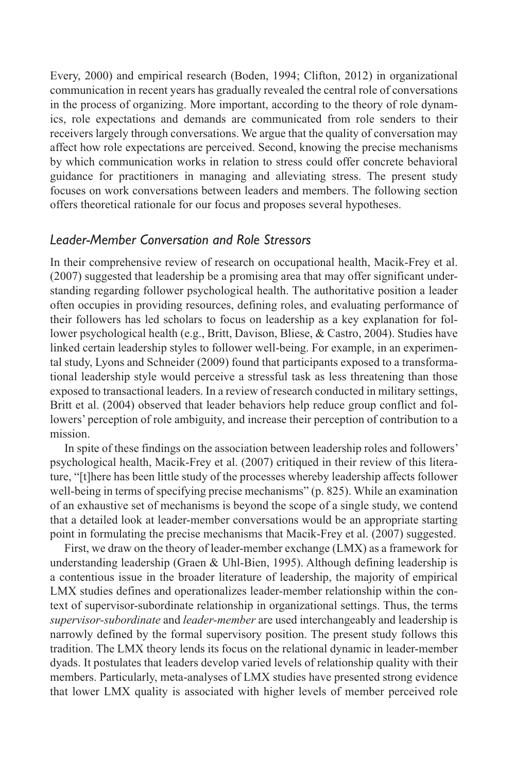Every, 2000) and empirical research (Boden, 1994; Clifton, 2012) in organizational communication in recent years has gradually revealed the central role of conversations in the process of organizing. More important, according to the theory of role dynamics, role expectations and demands are communicated from role senders to their receivers largely through conversations. We argue that the quality of conversation may affect how role expectations are perceived. Second, knowing the precise mechanisms by which communication works in relation to stress could offer concrete behavioral guidance for practitioners in managing and alleviating stress. The present study focuses on work conversations between leaders and members. The following section offers theoretical rationale for our focus and proposes several hypotheses.

#### *Leader-Member Conversation and Role Stressors*

In their comprehensive review of research on occupational health, Macik-Frey et al. (2007) suggested that leadership be a promising area that may offer significant understanding regarding follower psychological health. The authoritative position a leader often occupies in providing resources, defining roles, and evaluating performance of their followers has led scholars to focus on leadership as a key explanation for follower psychological health (e.g., Britt, Davison, Bliese, & Castro, 2004). Studies have linked certain leadership styles to follower well-being. For example, in an experimental study, Lyons and Schneider (2009) found that participants exposed to a transformational leadership style would perceive a stressful task as less threatening than those exposed to transactional leaders. In a review of research conducted in military settings, Britt et al. (2004) observed that leader behaviors help reduce group conflict and followers' perception of role ambiguity, and increase their perception of contribution to a mission.

In spite of these findings on the association between leadership roles and followers' psychological health, Macik-Frey et al. (2007) critiqued in their review of this literature, "[t]here has been little study of the processes whereby leadership affects follower well-being in terms of specifying precise mechanisms" (p. 825). While an examination of an exhaustive set of mechanisms is beyond the scope of a single study, we contend that a detailed look at leader-member conversations would be an appropriate starting point in formulating the precise mechanisms that Macik-Frey et al. (2007) suggested.

First, we draw on the theory of leader-member exchange (LMX) as a framework for understanding leadership (Graen & Uhl-Bien, 1995). Although defining leadership is a contentious issue in the broader literature of leadership, the majority of empirical LMX studies defines and operationalizes leader-member relationship within the context of supervisor-subordinate relationship in organizational settings. Thus, the terms *supervisor-subordinate* and *leader-member* are used interchangeably and leadership is narrowly defined by the formal supervisory position. The present study follows this tradition. The LMX theory lends its focus on the relational dynamic in leader-member dyads. It postulates that leaders develop varied levels of relationship quality with their members. Particularly, meta-analyses of LMX studies have presented strong evidence that lower LMX quality is associated with higher levels of member perceived role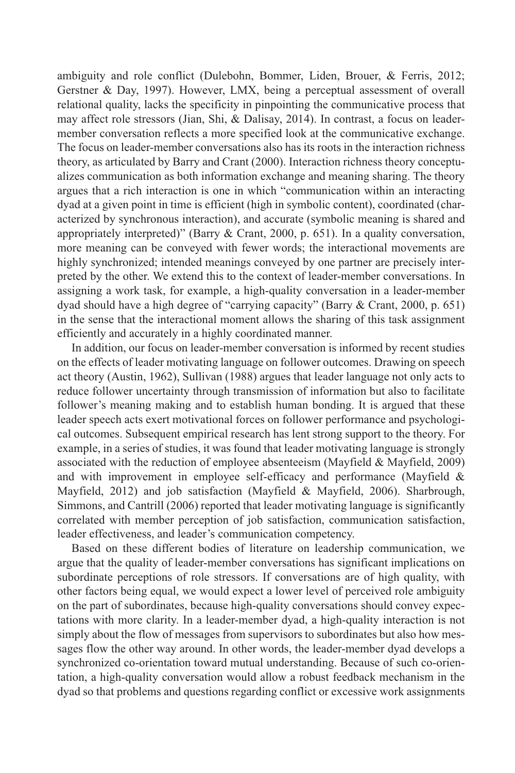ambiguity and role conflict (Dulebohn, Bommer, Liden, Brouer, & Ferris, 2012; Gerstner & Day, 1997). However, LMX, being a perceptual assessment of overall relational quality, lacks the specificity in pinpointing the communicative process that may affect role stressors (Jian, Shi, & Dalisay, 2014). In contrast, a focus on leadermember conversation reflects a more specified look at the communicative exchange. The focus on leader-member conversations also has its roots in the interaction richness theory, as articulated by Barry and Crant (2000). Interaction richness theory conceptualizes communication as both information exchange and meaning sharing. The theory argues that a rich interaction is one in which "communication within an interacting dyad at a given point in time is efficient (high in symbolic content), coordinated (characterized by synchronous interaction), and accurate (symbolic meaning is shared and appropriately interpreted)" (Barry & Crant, 2000, p. 651). In a quality conversation, more meaning can be conveyed with fewer words; the interactional movements are highly synchronized; intended meanings conveyed by one partner are precisely interpreted by the other. We extend this to the context of leader-member conversations. In assigning a work task, for example, a high-quality conversation in a leader-member dyad should have a high degree of "carrying capacity" (Barry & Crant, 2000, p. 651) in the sense that the interactional moment allows the sharing of this task assignment efficiently and accurately in a highly coordinated manner.

In addition, our focus on leader-member conversation is informed by recent studies on the effects of leader motivating language on follower outcomes. Drawing on speech act theory (Austin, 1962), Sullivan (1988) argues that leader language not only acts to reduce follower uncertainty through transmission of information but also to facilitate follower's meaning making and to establish human bonding. It is argued that these leader speech acts exert motivational forces on follower performance and psychological outcomes. Subsequent empirical research has lent strong support to the theory. For example, in a series of studies, it was found that leader motivating language is strongly associated with the reduction of employee absenteeism (Mayfield & Mayfield, 2009) and with improvement in employee self-efficacy and performance (Mayfield & Mayfield, 2012) and job satisfaction (Mayfield & Mayfield, 2006). Sharbrough, Simmons, and Cantrill (2006) reported that leader motivating language is significantly correlated with member perception of job satisfaction, communication satisfaction, leader effectiveness, and leader's communication competency.

Based on these different bodies of literature on leadership communication, we argue that the quality of leader-member conversations has significant implications on subordinate perceptions of role stressors. If conversations are of high quality, with other factors being equal, we would expect a lower level of perceived role ambiguity on the part of subordinates, because high-quality conversations should convey expectations with more clarity. In a leader-member dyad, a high-quality interaction is not simply about the flow of messages from supervisors to subordinates but also how messages flow the other way around. In other words, the leader-member dyad develops a synchronized co-orientation toward mutual understanding. Because of such co-orientation, a high-quality conversation would allow a robust feedback mechanism in the dyad so that problems and questions regarding conflict or excessive work assignments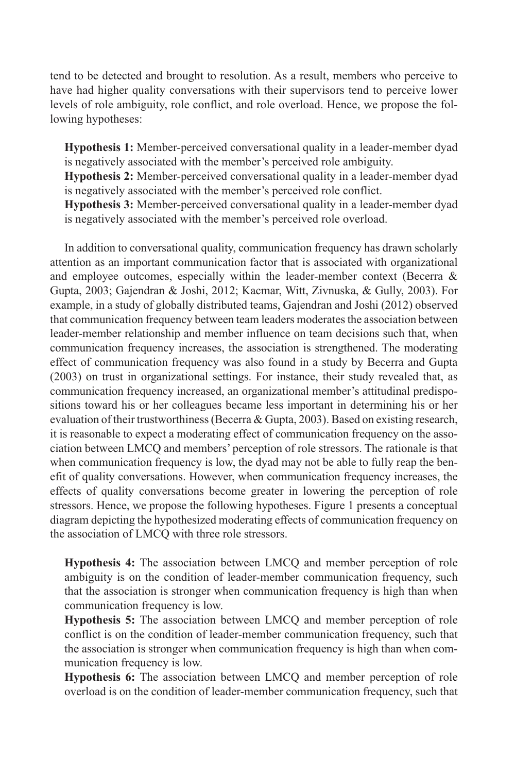tend to be detected and brought to resolution. As a result, members who perceive to have had higher quality conversations with their supervisors tend to perceive lower levels of role ambiguity, role conflict, and role overload. Hence, we propose the following hypotheses:

**Hypothesis 1:** Member-perceived conversational quality in a leader-member dyad is negatively associated with the member's perceived role ambiguity.

**Hypothesis 2:** Member-perceived conversational quality in a leader-member dyad is negatively associated with the member's perceived role conflict.

**Hypothesis 3:** Member-perceived conversational quality in a leader-member dyad is negatively associated with the member's perceived role overload.

In addition to conversational quality, communication frequency has drawn scholarly attention as an important communication factor that is associated with organizational and employee outcomes, especially within the leader-member context (Becerra & Gupta, 2003; Gajendran & Joshi, 2012; Kacmar, Witt, Zivnuska, & Gully, 2003). For example, in a study of globally distributed teams, Gajendran and Joshi (2012) observed that communication frequency between team leaders moderates the association between leader-member relationship and member influence on team decisions such that, when communication frequency increases, the association is strengthened. The moderating effect of communication frequency was also found in a study by Becerra and Gupta (2003) on trust in organizational settings. For instance, their study revealed that, as communication frequency increased, an organizational member's attitudinal predispositions toward his or her colleagues became less important in determining his or her evaluation of their trustworthiness (Becerra & Gupta, 2003). Based on existing research, it is reasonable to expect a moderating effect of communication frequency on the association between LMCQ and members' perception of role stressors. The rationale is that when communication frequency is low, the dyad may not be able to fully reap the benefit of quality conversations. However, when communication frequency increases, the effects of quality conversations become greater in lowering the perception of role stressors. Hence, we propose the following hypotheses. Figure 1 presents a conceptual diagram depicting the hypothesized moderating effects of communication frequency on the association of LMCQ with three role stressors.

**Hypothesis 4:** The association between LMCQ and member perception of role ambiguity is on the condition of leader-member communication frequency, such that the association is stronger when communication frequency is high than when communication frequency is low.

**Hypothesis 5:** The association between LMCQ and member perception of role conflict is on the condition of leader-member communication frequency, such that the association is stronger when communication frequency is high than when communication frequency is low.

**Hypothesis 6:** The association between LMCQ and member perception of role overload is on the condition of leader-member communication frequency, such that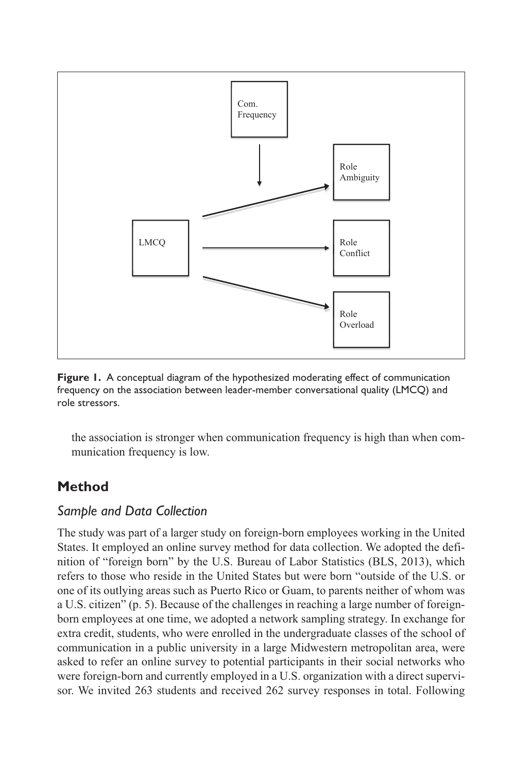

**Figure 1.** A conceptual diagram of the hypothesized moderating effect of communication frequency on the association between leader-member conversational quality (LMCQ) and role stressors.

the association is stronger when communication frequency is high than when communication frequency is low.

# **Method**

# *Sample and Data Collection*

The study was part of a larger study on foreign-born employees working in the United States. It employed an online survey method for data collection. We adopted the definition of "foreign born" by the U.S. Bureau of Labor Statistics (BLS, 2013), which refers to those who reside in the United States but were born "outside of the U.S. or one of its outlying areas such as Puerto Rico or Guam, to parents neither of whom was a U.S. citizen" (p. 5). Because of the challenges in reaching a large number of foreignborn employees at one time, we adopted a network sampling strategy. In exchange for extra credit, students, who were enrolled in the undergraduate classes of the school of communication in a public university in a large Midwestern metropolitan area, were asked to refer an online survey to potential participants in their social networks who were foreign-born and currently employed in a U.S. organization with a direct supervisor. We invited 263 students and received 262 survey responses in total. Following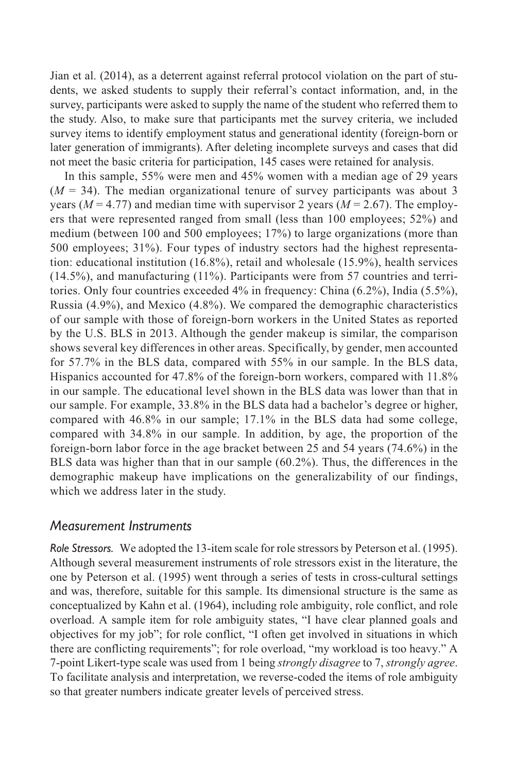Jian et al. (2014), as a deterrent against referral protocol violation on the part of students, we asked students to supply their referral's contact information, and, in the survey, participants were asked to supply the name of the student who referred them to the study. Also, to make sure that participants met the survey criteria, we included survey items to identify employment status and generational identity (foreign-born or later generation of immigrants). After deleting incomplete surveys and cases that did not meet the basic criteria for participation, 145 cases were retained for analysis.

In this sample, 55% were men and 45% women with a median age of 29 years  $(M = 34)$ . The median organizational tenure of survey participants was about 3 years ( $M = 4.77$ ) and median time with supervisor 2 years ( $M = 2.67$ ). The employers that were represented ranged from small (less than 100 employees; 52%) and medium (between 100 and 500 employees; 17%) to large organizations (more than 500 employees; 31%). Four types of industry sectors had the highest representation: educational institution (16.8%), retail and wholesale (15.9%), health services (14.5%), and manufacturing (11%). Participants were from 57 countries and territories. Only four countries exceeded 4% in frequency: China (6.2%), India (5.5%), Russia (4.9%), and Mexico (4.8%). We compared the demographic characteristics of our sample with those of foreign-born workers in the United States as reported by the U.S. BLS in 2013. Although the gender makeup is similar, the comparison shows several key differences in other areas. Specifically, by gender, men accounted for 57.7% in the BLS data, compared with 55% in our sample. In the BLS data, Hispanics accounted for 47.8% of the foreign-born workers, compared with 11.8% in our sample. The educational level shown in the BLS data was lower than that in our sample. For example, 33.8% in the BLS data had a bachelor's degree or higher, compared with 46.8% in our sample; 17.1% in the BLS data had some college, compared with 34.8% in our sample. In addition, by age, the proportion of the foreign-born labor force in the age bracket between 25 and 54 years (74.6%) in the BLS data was higher than that in our sample (60.2%). Thus, the differences in the demographic makeup have implications on the generalizability of our findings, which we address later in the study.

#### *Measurement Instruments*

*Role Stressors.* We adopted the 13-item scale for role stressors by Peterson et al. (1995). Although several measurement instruments of role stressors exist in the literature, the one by Peterson et al. (1995) went through a series of tests in cross-cultural settings and was, therefore, suitable for this sample. Its dimensional structure is the same as conceptualized by Kahn et al. (1964), including role ambiguity, role conflict, and role overload. A sample item for role ambiguity states, "I have clear planned goals and objectives for my job"; for role conflict, "I often get involved in situations in which there are conflicting requirements"; for role overload, "my workload is too heavy." A 7-point Likert-type scale was used from 1 being *strongly disagree* to 7, *strongly agree*. To facilitate analysis and interpretation, we reverse-coded the items of role ambiguity so that greater numbers indicate greater levels of perceived stress.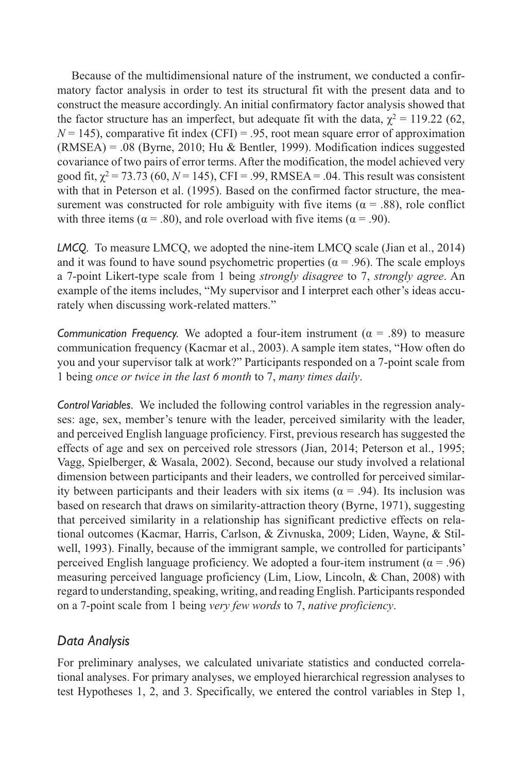Because of the multidimensional nature of the instrument, we conducted a confirmatory factor analysis in order to test its structural fit with the present data and to construct the measure accordingly. An initial confirmatory factor analysis showed that the factor structure has an imperfect, but adequate fit with the data,  $\chi^2 = 119.22$  (62,  $N = 145$ ), comparative fit index (CFI) = .95, root mean square error of approximation  $(RMSEA) = .08$  (Byrne, 2010; Hu & Bentler, 1999). Modification indices suggested covariance of two pairs of error terms. After the modification, the model achieved very good fit,  $\chi^2$  = 73.73 (60, N = 145), CFI = .99, RMSEA = .04. This result was consistent with that in Peterson et al. (1995). Based on the confirmed factor structure, the measurement was constructed for role ambiguity with five items ( $\alpha$  = .88), role conflict with three items ( $\alpha$  = .80), and role overload with five items ( $\alpha$  = .90).

*LMCQ.* To measure LMCQ, we adopted the nine-item LMCQ scale (Jian et al., 2014) and it was found to have sound psychometric properties ( $\alpha$  = .96). The scale employs a 7-point Likert-type scale from 1 being *strongly disagree* to 7, *strongly agree*. An example of the items includes, "My supervisor and I interpret each other's ideas accurately when discussing work-related matters."

*Communication Frequency.* We adopted a four-item instrument  $(\alpha = .89)$  to measure communication frequency (Kacmar et al., 2003). A sample item states, "How often do you and your supervisor talk at work?" Participants responded on a 7-point scale from 1 being *once or twice in the last 6 month* to 7, *many times daily*.

*Control Variables.* We included the following control variables in the regression analyses: age, sex, member's tenure with the leader, perceived similarity with the leader, and perceived English language proficiency. First, previous research has suggested the effects of age and sex on perceived role stressors (Jian, 2014; Peterson et al., 1995; Vagg, Spielberger, & Wasala, 2002). Second, because our study involved a relational dimension between participants and their leaders, we controlled for perceived similarity between participants and their leaders with six items ( $\alpha$  = .94). Its inclusion was based on research that draws on similarity-attraction theory (Byrne, 1971), suggesting that perceived similarity in a relationship has significant predictive effects on relational outcomes (Kacmar, Harris, Carlson, & Zivnuska, 2009; Liden, Wayne, & Stilwell, 1993). Finally, because of the immigrant sample, we controlled for participants' perceived English language proficiency. We adopted a four-item instrument ( $\alpha$  = .96) measuring perceived language proficiency (Lim, Liow, Lincoln, & Chan, 2008) with regard to understanding, speaking, writing, and reading English. Participants responded on a 7-point scale from 1 being *very few words* to 7, *native proficiency*.

## *Data Analysis*

For preliminary analyses, we calculated univariate statistics and conducted correlational analyses. For primary analyses, we employed hierarchical regression analyses to test Hypotheses 1, 2, and 3. Specifically, we entered the control variables in Step 1,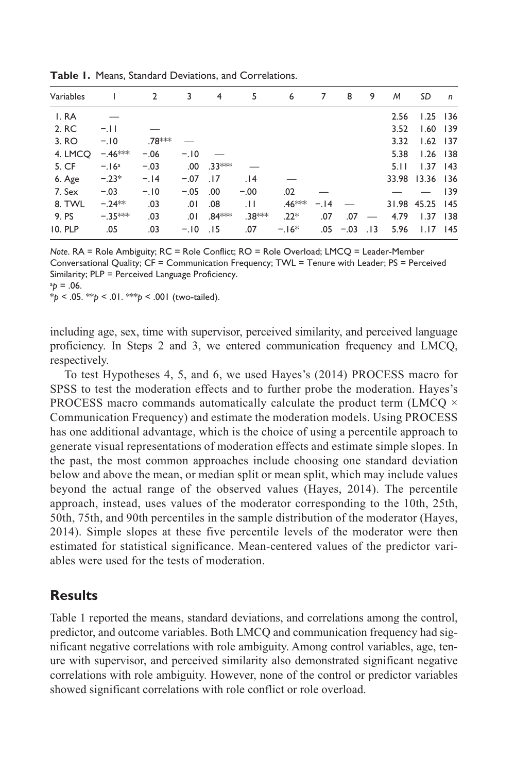| Variables      |           | $\overline{2}$ | 3      | 4              | 5      | 6      | 7      | 8          | 9 | M     | SD              | $\mathsf{n}$ |
|----------------|-----------|----------------|--------|----------------|--------|--------|--------|------------|---|-------|-----------------|--------------|
| I.RA           |           |                |        |                |        |        |        |            |   | 2.56  | $1.25$ 136      |              |
| 2. RC          | $-.11$    |                |        |                |        |        |        |            |   | 3.52  | $1.60$ 139      |              |
| 3. RO          | $-.10$    | .78***         |        |                |        |        |        |            |   | 3.32  | $1.62$ 137      |              |
| 4. LMCO        | $-.46***$ | $-.06$         | $-.10$ |                |        |        |        |            |   | 5.38  | $1.26$ 138      |              |
| 5. CF          | $-.16a$   | $-.03$         |        | $.00$ $.33***$ |        |        |        |            |   | 5.11  | $1.37$ 143      |              |
| 6. Age         | $-.23*$   | $-.14$         | $-.07$ | .17            | .14    |        |        |            |   | 33.98 | $13.36$ 136     |              |
| 7. Sex         | $-.03$    | $-.10$         | $-.05$ | .00            | $-.00$ | .02    |        |            |   |       |                 | 139          |
| 8. TWL         | $-.24**$  | .03            | .01    | .08            | .11    | .46*** | $-.14$ |            |   |       | 31.98 45.25 145 |              |
| 9. PS          | $-.35***$ | .03            |        | $.01.84***$    | .38*** | $.22*$ | .07    | .07        |   | 4.79  | $1.37$ 138      |              |
| <b>10. PLP</b> | .05       | .03            | $-.10$ | .15            | .07    | $-16*$ | .05    | $-.03$ .13 |   | 5.96  | $1.17$ 145      |              |

**Table 1.** Means, Standard Deviations, and Correlations.

*Note*. RA = Role Ambiguity; RC = Role Conflict; RO = Role Overload; LMCQ = Leader-Member Conversational Quality; CF = Communication Frequency; TWL = Tenure with Leader; PS = Perceived Similarity; PLP = Perceived Language Proficiency.

 $ap = .06$ .

\**p* < .05. \*\**p* < .01. \*\*\**p* < .001 (two-tailed).

including age, sex, time with supervisor, perceived similarity, and perceived language proficiency. In Steps 2 and 3, we entered communication frequency and LMCQ, respectively.

To test Hypotheses 4, 5, and 6, we used Hayes's (2014) PROCESS macro for SPSS to test the moderation effects and to further probe the moderation. Hayes's PROCESS macro commands automatically calculate the product term (LMCQ  $\times$ Communication Frequency) and estimate the moderation models. Using PROCESS has one additional advantage, which is the choice of using a percentile approach to generate visual representations of moderation effects and estimate simple slopes. In the past, the most common approaches include choosing one standard deviation below and above the mean, or median split or mean split, which may include values beyond the actual range of the observed values (Hayes, 2014). The percentile approach, instead, uses values of the moderator corresponding to the 10th, 25th, 50th, 75th, and 90th percentiles in the sample distribution of the moderator (Hayes, 2014). Simple slopes at these five percentile levels of the moderator were then estimated for statistical significance. Mean-centered values of the predictor variables were used for the tests of moderation.

#### **Results**

Table 1 reported the means, standard deviations, and correlations among the control, predictor, and outcome variables. Both LMCQ and communication frequency had significant negative correlations with role ambiguity. Among control variables, age, tenure with supervisor, and perceived similarity also demonstrated significant negative correlations with role ambiguity. However, none of the control or predictor variables showed significant correlations with role conflict or role overload.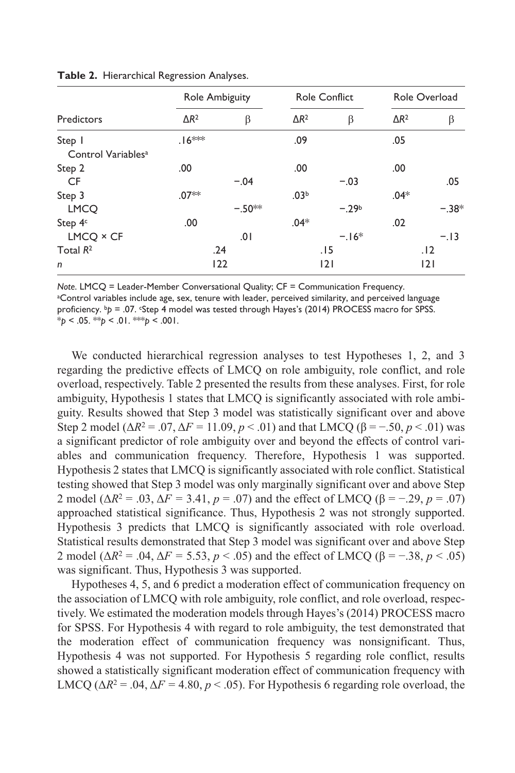|                                          |                    | Role Ambiguity |                  | <b>Role Conflict</b> | Role Overload |         |  |
|------------------------------------------|--------------------|----------------|------------------|----------------------|---------------|---------|--|
| Predictors                               | $\Delta R^2$       | β              | $\Delta R^2$     | β                    | $\Delta R^2$  | β       |  |
| Step I<br>Control Variables <sup>a</sup> | .16 <sup>***</sup> |                | .09              |                      | .05           |         |  |
| Step 2                                   | .00                |                | .00              |                      | .00           |         |  |
| CF                                       |                    | $-.04$         |                  | $-.03$               |               | .05     |  |
| Step 3                                   | .07**              |                | .03 <sup>b</sup> |                      | $.04*$        |         |  |
| <b>LMCO</b>                              |                    | $-.50**$       |                  | $-29b$               |               | $-.38*$ |  |
| Step 4 <sup>c</sup>                      | .00                |                | $.04*$           |                      | .02           |         |  |
| $LMCQ \times CF$                         |                    | 0١.            |                  | $-16*$               |               | $-.13$  |  |
| Total $R^2$                              |                    | .24            |                  | .15                  |               | .12     |  |
| $\mathsf{n}$                             |                    | 122            |                  | 2                    |               | 2       |  |

**Table 2.** Hierarchical Regression Analyses.

*Note*. LMCQ = Leader-Member Conversational Quality; CF = Communication Frequency.

a Control variables include age, sex, tenure with leader, perceived similarity, and perceived language proficiency. b<sub>p</sub> = .07. Step 4 model was tested through Hayes's (2014) PROCESS macro for SPSS. \**p* < .05. \*\**p* < .01. \*\*\**p* < .001.

We conducted hierarchical regression analyses to test Hypotheses 1, 2, and 3 regarding the predictive effects of LMCQ on role ambiguity, role conflict, and role overload, respectively. Table 2 presented the results from these analyses. First, for role ambiguity, Hypothesis 1 states that LMCQ is significantly associated with role ambiguity. Results showed that Step 3 model was statistically significant over and above Step 2 model ( $\Delta R^2 = .07$ ,  $\Delta F = 11.09$ ,  $p < .01$ ) and that LMCQ ( $\beta = -.50$ ,  $p < .01$ ) was a significant predictor of role ambiguity over and beyond the effects of control variables and communication frequency. Therefore, Hypothesis 1 was supported. Hypothesis 2 states that LMCQ is significantly associated with role conflict. Statistical testing showed that Step 3 model was only marginally significant over and above Step 2 model ( $\Delta R^2 = .03$ ,  $\Delta F = 3.41$ ,  $p = .07$ ) and the effect of LMCQ ( $\beta = -.29$ ,  $p = .07$ ) approached statistical significance. Thus, Hypothesis 2 was not strongly supported. Hypothesis 3 predicts that LMCQ is significantly associated with role overload. Statistical results demonstrated that Step 3 model was significant over and above Step 2 model ( $\Delta R^2 = .04$ ,  $\Delta F = 5.53$ ,  $p < .05$ ) and the effect of LMCQ ( $\beta = -.38$ ,  $p < .05$ ) was significant. Thus, Hypothesis 3 was supported.

Hypotheses 4, 5, and 6 predict a moderation effect of communication frequency on the association of LMCQ with role ambiguity, role conflict, and role overload, respectively. We estimated the moderation models through Hayes's (2014) PROCESS macro for SPSS. For Hypothesis 4 with regard to role ambiguity, the test demonstrated that the moderation effect of communication frequency was nonsignificant. Thus, Hypothesis 4 was not supported. For Hypothesis 5 regarding role conflict, results showed a statistically significant moderation effect of communication frequency with LMCQ ( $\Delta R^2$  = .04,  $\Delta F$  = 4.80,  $p < .05$ ). For Hypothesis 6 regarding role overload, the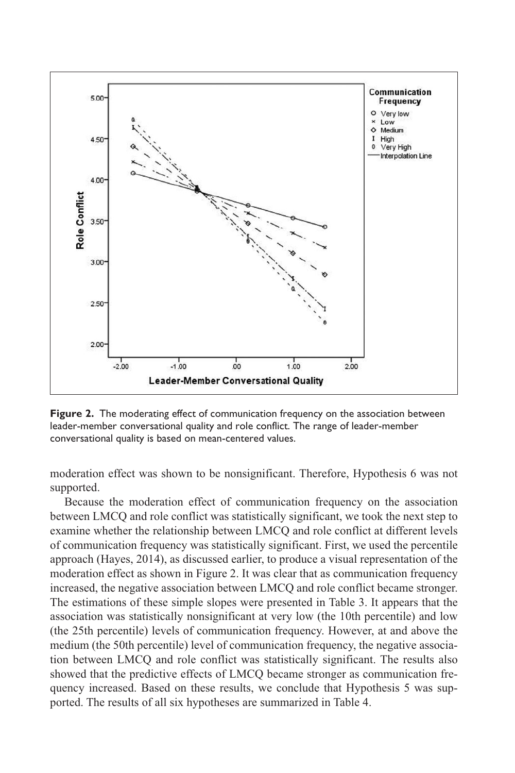

**Figure 2.** The moderating effect of communication frequency on the association between leader-member conversational quality and role conflict. The range of leader-member conversational quality is based on mean-centered values.

moderation effect was shown to be nonsignificant. Therefore, Hypothesis 6 was not supported.

Because the moderation effect of communication frequency on the association between LMCQ and role conflict was statistically significant, we took the next step to examine whether the relationship between LMCQ and role conflict at different levels of communication frequency was statistically significant. First, we used the percentile approach (Hayes, 2014), as discussed earlier, to produce a visual representation of the moderation effect as shown in Figure 2. It was clear that as communication frequency increased, the negative association between LMCQ and role conflict became stronger. The estimations of these simple slopes were presented in Table 3. It appears that the association was statistically nonsignificant at very low (the 10th percentile) and low (the 25th percentile) levels of communication frequency. However, at and above the medium (the 50th percentile) level of communication frequency, the negative association between LMCQ and role conflict was statistically significant. The results also showed that the predictive effects of LMCQ became stronger as communication frequency increased. Based on these results, we conclude that Hypothesis 5 was supported. The results of all six hypotheses are summarized in Table 4.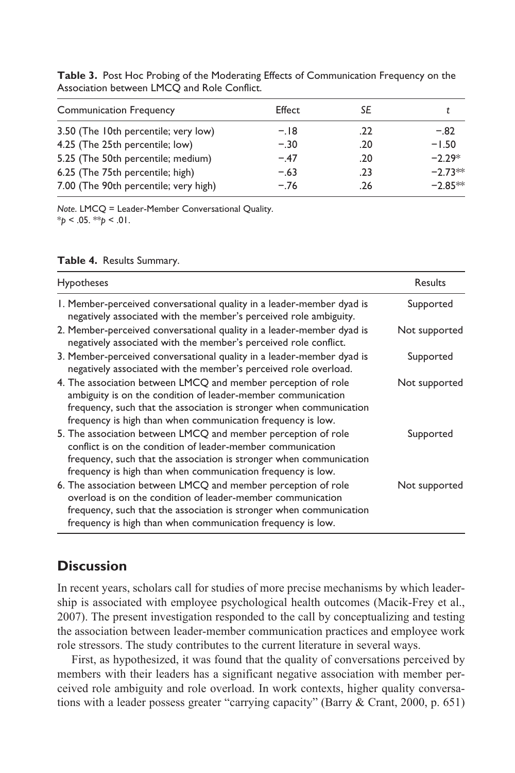| <b>Communication Frequency</b>        | Effect | SF  |           |
|---------------------------------------|--------|-----|-----------|
| 3.50 (The 10th percentile; very low)  | $-.18$ | .22 | $-.82$    |
| 4.25 (The 25th percentile; low)       | $-.30$ | .20 | $-1.50$   |
| 5.25 (The 50th percentile; medium)    | $-.47$ | .20 | $-2.29*$  |
| 6.25 (The 75th percentile; high)      | $-.63$ | .23 | $-2.73**$ |
| 7.00 (The 90th percentile; very high) | $-.76$ | .26 | $-2.85**$ |
|                                       |        |     |           |

**Table 3.** Post Hoc Probing of the Moderating Effects of Communication Frequency on the Association between LMCQ and Role Conflict.

*Note*. LMCQ = Leader-Member Conversational Quality. \**p* < .05. \*\**p* < .01.

| Table 4. Results Summary. |  |
|---------------------------|--|
|---------------------------|--|

| <b>Hypotheses</b>                                                                                                                                                                                                                                                   | Results       |
|---------------------------------------------------------------------------------------------------------------------------------------------------------------------------------------------------------------------------------------------------------------------|---------------|
| 1. Member-perceived conversational quality in a leader-member dyad is<br>negatively associated with the member's perceived role ambiguity.                                                                                                                          | Supported     |
| 2. Member-perceived conversational quality in a leader-member dyad is<br>negatively associated with the member's perceived role conflict.                                                                                                                           | Not supported |
| 3. Member-perceived conversational quality in a leader-member dyad is<br>negatively associated with the member's perceived role overload.                                                                                                                           | Supported     |
| 4. The association between LMCQ and member perception of role<br>ambiguity is on the condition of leader-member communication<br>frequency, such that the association is stronger when communication<br>frequency is high than when communication frequency is low. | Not supported |
| 5. The association between LMCQ and member perception of role<br>conflict is on the condition of leader-member communication<br>frequency, such that the association is stronger when communication<br>frequency is high than when communication frequency is low.  | Supported     |
| 6. The association between LMCQ and member perception of role<br>overload is on the condition of leader-member communication<br>frequency, such that the association is stronger when communication<br>frequency is high than when communication frequency is low.  | Not supported |

## **Discussion**

In recent years, scholars call for studies of more precise mechanisms by which leadership is associated with employee psychological health outcomes (Macik-Frey et al., 2007). The present investigation responded to the call by conceptualizing and testing the association between leader-member communication practices and employee work role stressors. The study contributes to the current literature in several ways.

First, as hypothesized, it was found that the quality of conversations perceived by members with their leaders has a significant negative association with member perceived role ambiguity and role overload. In work contexts, higher quality conversations with a leader possess greater "carrying capacity" (Barry & Crant, 2000, p. 651)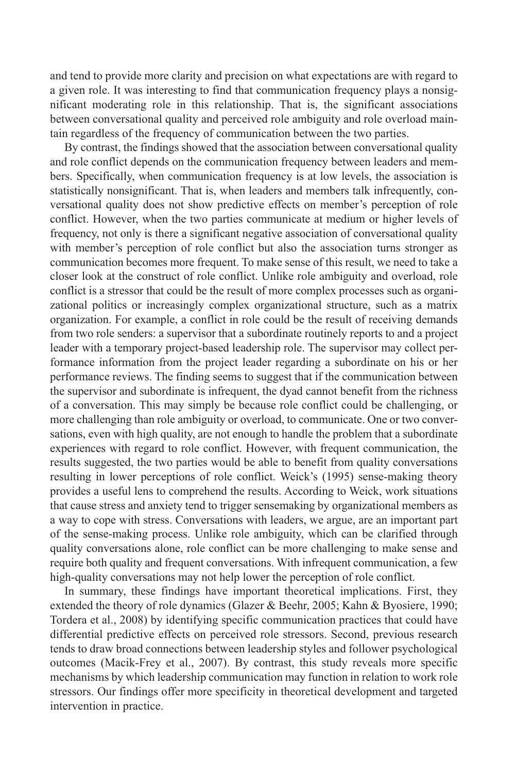and tend to provide more clarity and precision on what expectations are with regard to a given role. It was interesting to find that communication frequency plays a nonsignificant moderating role in this relationship. That is, the significant associations between conversational quality and perceived role ambiguity and role overload maintain regardless of the frequency of communication between the two parties.

By contrast, the findings showed that the association between conversational quality and role conflict depends on the communication frequency between leaders and members. Specifically, when communication frequency is at low levels, the association is statistically nonsignificant. That is, when leaders and members talk infrequently, conversational quality does not show predictive effects on member's perception of role conflict. However, when the two parties communicate at medium or higher levels of frequency, not only is there a significant negative association of conversational quality with member's perception of role conflict but also the association turns stronger as communication becomes more frequent. To make sense of this result, we need to take a closer look at the construct of role conflict. Unlike role ambiguity and overload, role conflict is a stressor that could be the result of more complex processes such as organizational politics or increasingly complex organizational structure, such as a matrix organization. For example, a conflict in role could be the result of receiving demands from two role senders: a supervisor that a subordinate routinely reports to and a project leader with a temporary project-based leadership role. The supervisor may collect performance information from the project leader regarding a subordinate on his or her performance reviews. The finding seems to suggest that if the communication between the supervisor and subordinate is infrequent, the dyad cannot benefit from the richness of a conversation. This may simply be because role conflict could be challenging, or more challenging than role ambiguity or overload, to communicate. One or two conversations, even with high quality, are not enough to handle the problem that a subordinate experiences with regard to role conflict. However, with frequent communication, the results suggested, the two parties would be able to benefit from quality conversations resulting in lower perceptions of role conflict. Weick's (1995) sense-making theory provides a useful lens to comprehend the results. According to Weick, work situations that cause stress and anxiety tend to trigger sensemaking by organizational members as a way to cope with stress. Conversations with leaders, we argue, are an important part of the sense-making process. Unlike role ambiguity, which can be clarified through quality conversations alone, role conflict can be more challenging to make sense and require both quality and frequent conversations. With infrequent communication, a few high-quality conversations may not help lower the perception of role conflict.

In summary, these findings have important theoretical implications. First, they extended the theory of role dynamics (Glazer & Beehr, 2005; Kahn & Byosiere, 1990; Tordera et al., 2008) by identifying specific communication practices that could have differential predictive effects on perceived role stressors. Second, previous research tends to draw broad connections between leadership styles and follower psychological outcomes (Macik-Frey et al., 2007). By contrast, this study reveals more specific mechanisms by which leadership communication may function in relation to work role stressors. Our findings offer more specificity in theoretical development and targeted intervention in practice.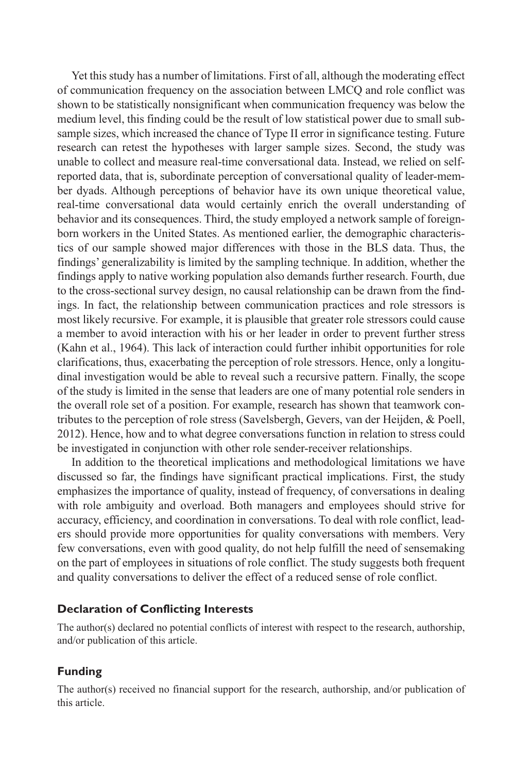Yet this study has a number of limitations. First of all, although the moderating effect of communication frequency on the association between LMCQ and role conflict was shown to be statistically nonsignificant when communication frequency was below the medium level, this finding could be the result of low statistical power due to small subsample sizes, which increased the chance of Type II error in significance testing. Future research can retest the hypotheses with larger sample sizes. Second, the study was unable to collect and measure real-time conversational data. Instead, we relied on selfreported data, that is, subordinate perception of conversational quality of leader-member dyads. Although perceptions of behavior have its own unique theoretical value, real-time conversational data would certainly enrich the overall understanding of behavior and its consequences. Third, the study employed a network sample of foreignborn workers in the United States. As mentioned earlier, the demographic characteristics of our sample showed major differences with those in the BLS data. Thus, the findings' generalizability is limited by the sampling technique. In addition, whether the findings apply to native working population also demands further research. Fourth, due to the cross-sectional survey design, no causal relationship can be drawn from the findings. In fact, the relationship between communication practices and role stressors is most likely recursive. For example, it is plausible that greater role stressors could cause a member to avoid interaction with his or her leader in order to prevent further stress (Kahn et al., 1964). This lack of interaction could further inhibit opportunities for role clarifications, thus, exacerbating the perception of role stressors. Hence, only a longitudinal investigation would be able to reveal such a recursive pattern. Finally, the scope of the study is limited in the sense that leaders are one of many potential role senders in the overall role set of a position. For example, research has shown that teamwork contributes to the perception of role stress (Savelsbergh, Gevers, van der Heijden, & Poell, 2012). Hence, how and to what degree conversations function in relation to stress could be investigated in conjunction with other role sender-receiver relationships.

In addition to the theoretical implications and methodological limitations we have discussed so far, the findings have significant practical implications. First, the study emphasizes the importance of quality, instead of frequency, of conversations in dealing with role ambiguity and overload. Both managers and employees should strive for accuracy, efficiency, and coordination in conversations. To deal with role conflict, leaders should provide more opportunities for quality conversations with members. Very few conversations, even with good quality, do not help fulfill the need of sensemaking on the part of employees in situations of role conflict. The study suggests both frequent and quality conversations to deliver the effect of a reduced sense of role conflict.

#### **Declaration of Conflicting Interests**

The author(s) declared no potential conflicts of interest with respect to the research, authorship, and/or publication of this article.

#### **Funding**

The author(s) received no financial support for the research, authorship, and/or publication of this article.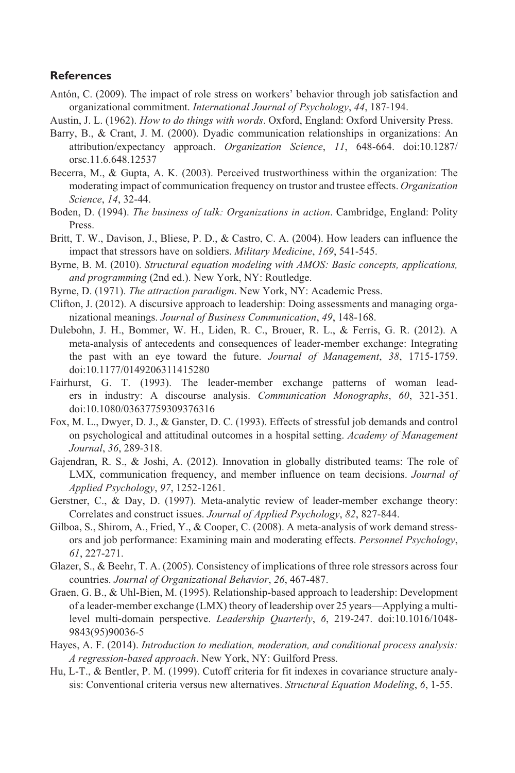#### **References**

- Antón, C. (2009). The impact of role stress on workers' behavior through job satisfaction and organizational commitment. *International Journal of Psychology*, *44*, 187-194.
- Austin, J. L. (1962). *How to do things with words*. Oxford, England: Oxford University Press.
- Barry, B., & Crant, J. M. (2000). Dyadic communication relationships in organizations: An attribution/expectancy approach. *Organization Science*, *11*, 648-664. doi:10.1287/ orsc.11.6.648.12537
- Becerra, M., & Gupta, A. K. (2003). Perceived trustworthiness within the organization: The moderating impact of communication frequency on trustor and trustee effects. *Organization Science*, *14*, 32-44.
- Boden, D. (1994). *The business of talk: Organizations in action*. Cambridge, England: Polity Press.
- Britt, T. W., Davison, J., Bliese, P. D., & Castro, C. A. (2004). How leaders can influence the impact that stressors have on soldiers. *Military Medicine*, *169*, 541-545.
- Byrne, B. M. (2010). *Structural equation modeling with AMOS: Basic concepts, applications, and programming* (2nd ed.). New York, NY: Routledge.
- Byrne, D. (1971). *The attraction paradigm*. New York, NY: Academic Press.
- Clifton, J. (2012). A discursive approach to leadership: Doing assessments and managing organizational meanings. *Journal of Business Communication*, *49*, 148-168.
- Dulebohn, J. H., Bommer, W. H., Liden, R. C., Brouer, R. L., & Ferris, G. R. (2012). A meta-analysis of antecedents and consequences of leader-member exchange: Integrating the past with an eye toward the future. *Journal of Management*, *38*, 1715-1759. doi:10.1177/0149206311415280
- Fairhurst, G. T. (1993). The leader-member exchange patterns of woman leaders in industry: A discourse analysis. *Communication Monographs*, *60*, 321-351. doi:10.1080/03637759309376316
- Fox, M. L., Dwyer, D. J., & Ganster, D. C. (1993). Effects of stressful job demands and control on psychological and attitudinal outcomes in a hospital setting. *Academy of Management Journal*, *36*, 289-318.
- Gajendran, R. S., & Joshi, A. (2012). Innovation in globally distributed teams: The role of LMX, communication frequency, and member influence on team decisions. *Journal of Applied Psychology*, *97*, 1252-1261.
- Gerstner, C., & Day, D. (1997). Meta-analytic review of leader-member exchange theory: Correlates and construct issues. *Journal of Applied Psychology*, *82*, 827-844.
- Gilboa, S., Shirom, A., Fried, Y., & Cooper, C. (2008). A meta-analysis of work demand stressors and job performance: Examining main and moderating effects. *Personnel Psychology*, *61*, 227-271.
- Glazer, S., & Beehr, T. A. (2005). Consistency of implications of three role stressors across four countries. *Journal of Organizational Behavior*, *26*, 467-487.
- Graen, G. B., & Uhl-Bien, M. (1995). Relationship-based approach to leadership: Development of a leader-member exchange (LMX) theory of leadership over 25 years—Applying a multilevel multi-domain perspective. *Leadership Quarterly*, *6*, 219-247. doi:10.1016/1048- 9843(95)90036-5
- Hayes, A. F. (2014). *Introduction to mediation, moderation, and conditional process analysis: A regression-based approach*. New York, NY: Guilford Press.
- Hu, L-T., & Bentler, P. M. (1999). Cutoff criteria for fit indexes in covariance structure analysis: Conventional criteria versus new alternatives. *Structural Equation Modeling*, *6*, 1-55.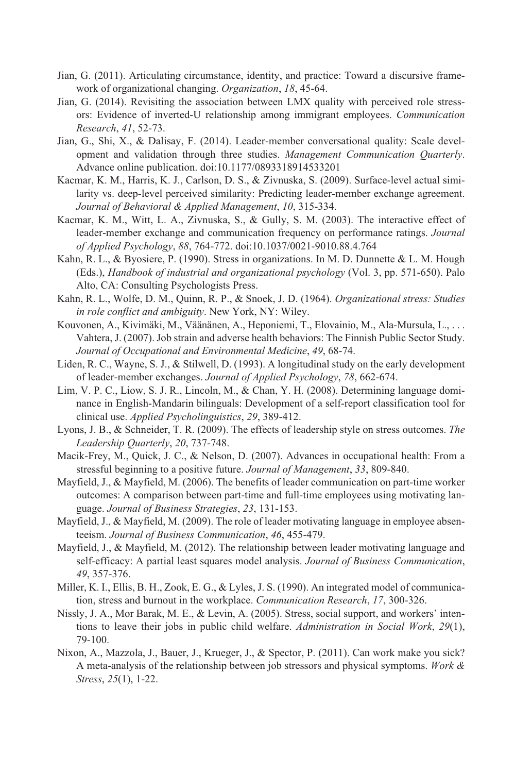- Jian, G. (2011). Articulating circumstance, identity, and practice: Toward a discursive framework of organizational changing. *Organization*, *18*, 45-64.
- Jian, G. (2014). Revisiting the association between LMX quality with perceived role stressors: Evidence of inverted-U relationship among immigrant employees. *Communication Research*, *41*, 52-73.
- Jian, G., Shi, X., & Dalisay, F. (2014). Leader-member conversational quality: Scale development and validation through three studies. *Management Communication Quarterly*. Advance online publication. doi:10.1177/0893318914533201
- Kacmar, K. M., Harris, K. J., Carlson, D. S., & Zivnuska, S. (2009). Surface-level actual similarity vs. deep-level perceived similarity: Predicting leader-member exchange agreement. *Journal of Behavioral & Applied Management*, *10*, 315-334.
- Kacmar, K. M., Witt, L. A., Zivnuska, S., & Gully, S. M. (2003). The interactive effect of leader-member exchange and communication frequency on performance ratings. *Journal of Applied Psychology*, *88*, 764-772. doi:10.1037/0021-9010.88.4.764
- Kahn, R. L., & Byosiere, P. (1990). Stress in organizations. In M. D. Dunnette & L. M. Hough (Eds.), *Handbook of industrial and organizational psychology* (Vol. 3, pp. 571-650). Palo Alto, CA: Consulting Psychologists Press.
- Kahn, R. L., Wolfe, D. M., Quinn, R. P., & Snoek, J. D. (1964). *Organizational stress: Studies in role conflict and ambiguity*. New York, NY: Wiley.
- Kouvonen, A., Kivimäki, M., Väänänen, A., Heponiemi, T., Elovainio, M., Ala-Mursula, L., . . . Vahtera, J. (2007). Job strain and adverse health behaviors: The Finnish Public Sector Study. *Journal of Occupational and Environmental Medicine*, *49*, 68-74.
- Liden, R. C., Wayne, S. J., & Stilwell, D. (1993). A longitudinal study on the early development of leader-member exchanges. *Journal of Applied Psychology*, *78*, 662-674.
- Lim, V. P. C., Liow, S. J. R., Lincoln, M., & Chan, Y. H. (2008). Determining language dominance in English-Mandarin bilinguals: Development of a self-report classification tool for clinical use. *Applied Psycholinguistics*, *29*, 389-412.
- Lyons, J. B., & Schneider, T. R. (2009). The effects of leadership style on stress outcomes. *The Leadership Quarterly*, *20*, 737-748.
- Macik-Frey, M., Quick, J. C., & Nelson, D. (2007). Advances in occupational health: From a stressful beginning to a positive future. *Journal of Management*, *33*, 809-840.
- Mayfield, J., & Mayfield, M. (2006). The benefits of leader communication on part-time worker outcomes: A comparison between part-time and full-time employees using motivating language. *Journal of Business Strategies*, *23*, 131-153.
- Mayfield, J., & Mayfield, M. (2009). The role of leader motivating language in employee absenteeism. *Journal of Business Communication*, *46*, 455-479.
- Mayfield, J., & Mayfield, M. (2012). The relationship between leader motivating language and self-efficacy: A partial least squares model analysis. *Journal of Business Communication*, *49*, 357-376.
- Miller, K. I., Ellis, B. H., Zook, E. G., & Lyles, J. S. (1990). An integrated model of communication, stress and burnout in the workplace. *Communication Research*, *17*, 300-326.
- Nissly, J. A., Mor Barak, M. E., & Levin, A. (2005). Stress, social support, and workers' intentions to leave their jobs in public child welfare. *Administration in Social Work*, *29*(1), 79-100.
- Nixon, A., Mazzola, J., Bauer, J., Krueger, J., & Spector, P. (2011). Can work make you sick? A meta-analysis of the relationship between job stressors and physical symptoms. *Work & Stress*, *25*(1), 1-22.